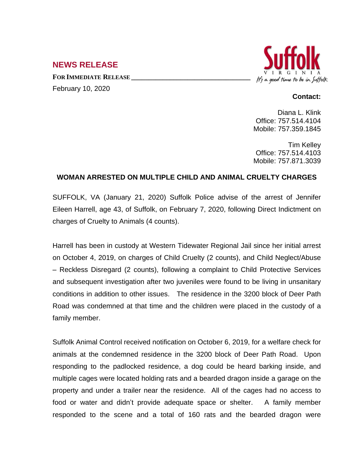## **NEWS RELEASE**

**FOR IMMEDIATE RELEASE \_\_\_\_\_\_\_\_\_\_\_\_\_\_\_\_\_\_\_\_\_\_\_\_\_\_\_\_\_\_\_\_\_\_**

February 10, 2020



## **Contact:**

Diana L. Klink Office: 757.514.4104 Mobile: 757.359.1845

Tim Kelley Office: 757.514.4103 Mobile: 757.871.3039

## **WOMAN ARRESTED ON MULTIPLE CHILD AND ANIMAL CRUELTY CHARGES**

SUFFOLK, VA (January 21, 2020) Suffolk Police advise of the arrest of Jennifer Eileen Harrell, age 43, of Suffolk, on February 7, 2020, following Direct Indictment on charges of Cruelty to Animals (4 counts).

Harrell has been in custody at Western Tidewater Regional Jail since her initial arrest on October 4, 2019, on charges of Child Cruelty (2 counts), and Child Neglect/Abuse – Reckless Disregard (2 counts), following a complaint to Child Protective Services and subsequent investigation after two juveniles were found to be living in unsanitary conditions in addition to other issues. The residence in the 3200 block of Deer Path Road was condemned at that time and the children were placed in the custody of a family member.

Suffolk Animal Control received notification on October 6, 2019, for a welfare check for animals at the condemned residence in the 3200 block of Deer Path Road. Upon responding to the padlocked residence, a dog could be heard barking inside, and multiple cages were located holding rats and a bearded dragon inside a garage on the property and under a trailer near the residence. All of the cages had no access to food or water and didn't provide adequate space or shelter. A family member responded to the scene and a total of 160 rats and the bearded dragon were